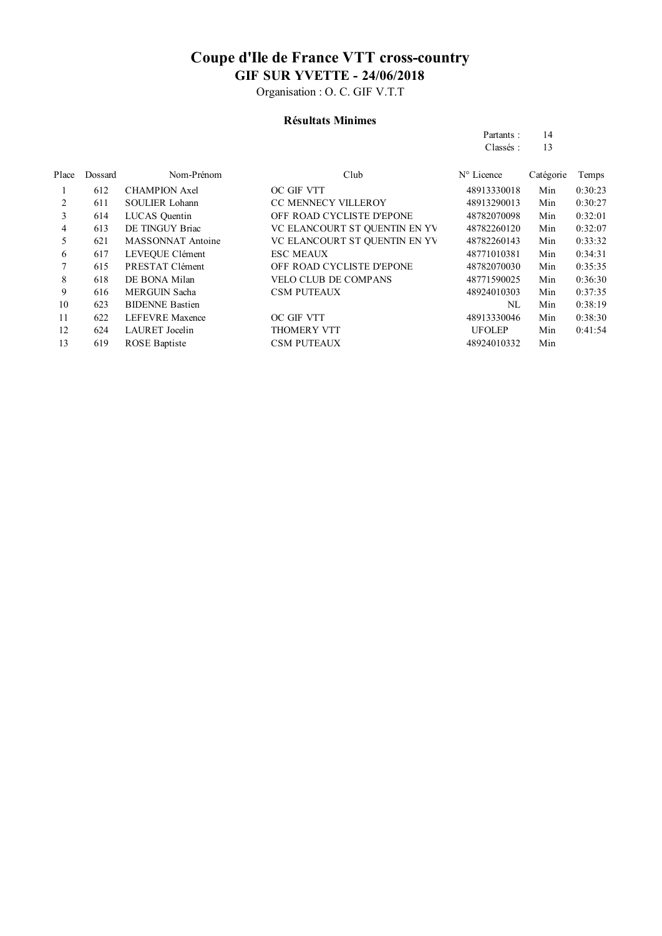Organisation : O. C. GIF V.T.T

#### **Résultats Minimes**

| Partants: | 14 |
|-----------|----|
| Classés:  | 13 |

| Place | Dossard | Nom-Prénom             | Club                          | $N^{\circ}$ Licence | Catégorie | Temps   |
|-------|---------|------------------------|-------------------------------|---------------------|-----------|---------|
|       | 612     | <b>CHAMPION Axel</b>   | OC GIF VTT                    | 48913330018         | Min       | 0:30:23 |
| 2     | 611     | <b>SOULIER Lohann</b>  | <b>CC MENNECY VILLEROY</b>    | 48913290013         | Min       | 0:30:27 |
| 3     | 614     | LUCAS Quentin          | OFF ROAD CYCLISTE D'EPONE     | 48782070098         | Min       | 0:32:01 |
| 4     | 613     | DE TINGUY Briac        | VC ELANCOURT ST QUENTIN EN YV | 48782260120         | Min       | 0:32:07 |
| 5     | 621     | MASSONNAT Antoine      | VC ELANCOURT ST OUENTIN EN YV | 48782260143         | Min       | 0:33:32 |
| 6     | 617     | LEVEOUE Clément        | <b>ESC MEAUX</b>              | 48771010381         | Min       | 0:34:31 |
|       | 615     | PRESTAT Clément        | OFF ROAD CYCLISTE D'EPONE     | 48782070030         | Min       | 0:35:35 |
| 8     | 618     | DE BONA Milan          | <b>VELO CLUB DE COMPANS</b>   | 48771590025         | Min       | 0:36:30 |
| 9     | 616     | <b>MERGUIN Sacha</b>   | <b>CSM PUTEAUX</b>            | 48924010303         | Min       | 0:37:35 |
| 10    | 623     | <b>BIDENNE Bastien</b> |                               | NL                  | Min       | 0:38:19 |
| 11    | 622     | <b>LEFEVRE</b> Maxence | OC GIF VTT                    | 48913330046         | Min       | 0:38:30 |
| 12    | 624     | <b>LAURET</b> Jocelin  | <b>THOMERY VTT</b>            | <b>UFOLEP</b>       | Min       | 0:41:54 |
| 13    | 619     | <b>ROSE</b> Baptiste   | <b>CSM PUTEAUX</b>            | 48924010332         | Min       |         |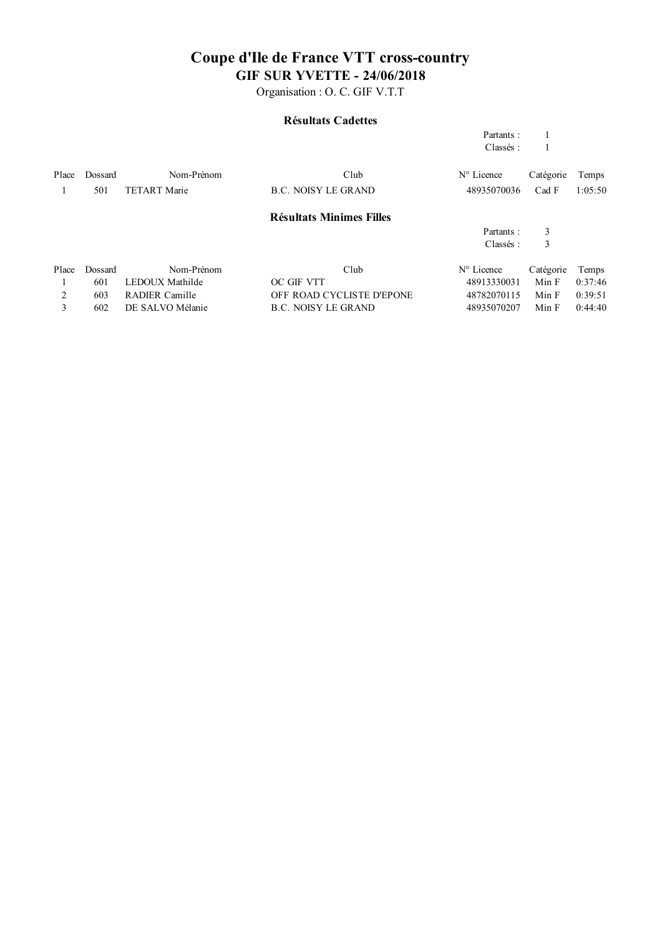Organisation : O. C. GIF V.T.T

#### **Résultats Cadettes**

|       |         |                     |                                 | Partants:    |           |         |
|-------|---------|---------------------|---------------------------------|--------------|-----------|---------|
|       |         |                     |                                 | Classés:     |           |         |
| Place | Dossard | Nom-Prénom          | Club                            | N° Licence   | Catégorie | Temps   |
|       | 501     | <b>TETART Marie</b> | <b>B.C. NOISY LE GRAND</b>      | 48935070036  | Cad F     | 1:05:50 |
|       |         |                     | <b>Résultats Minimes Filles</b> |              |           |         |
|       |         |                     |                                 | Partants:    | 3         |         |
|       |         |                     |                                 | Classés:     | 3         |         |
| Place | Dossard | Nom-Prénom          | Club                            | $No$ Licence | Catégorie | Temps   |
|       | 601     | LEDOUX Mathilde     | OC GIF VTT                      | 48913330031  | Min F     | 0:37:46 |
| 2     | 603     | RADIER Camille      | OFF ROAD CYCLISTE D'EPONE       | 48782070115  | Min F     | 0:39:51 |
| 3     | 602     | DE SALVO Mélanie    | <b>B.C. NOISY LE GRAND</b>      | 48935070207  | Min F     | 0:44:40 |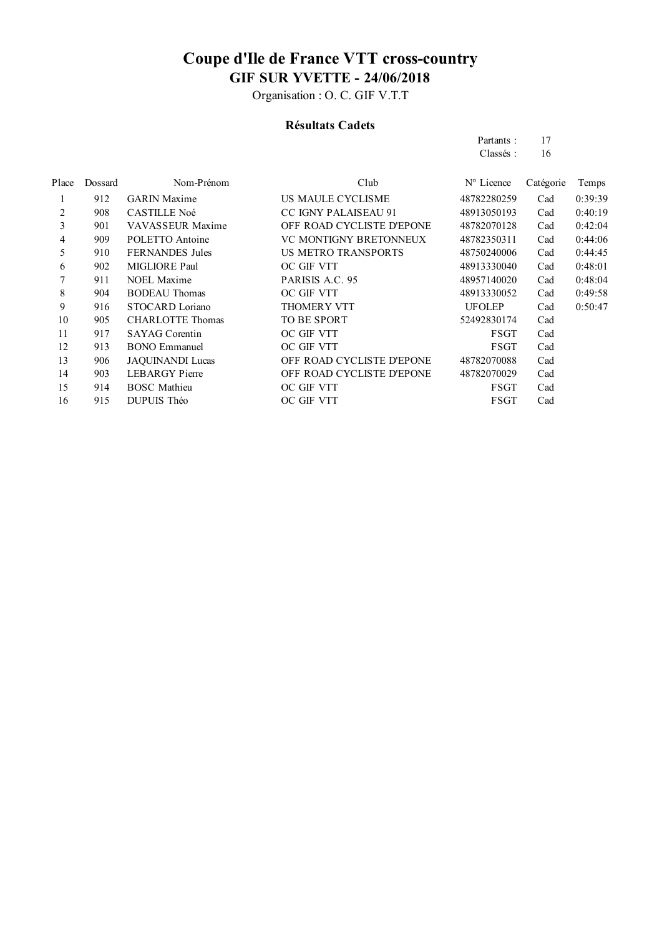Organisation : O. C. GIF V.T.T

#### **Résultats Cadets**

| Partants: | 17 |
|-----------|----|
| Classés:  | 16 |

| Place | Dossard | Nom-Prénom              | Club                          | N° Licence    | Catégorie | Temps   |
|-------|---------|-------------------------|-------------------------------|---------------|-----------|---------|
|       | 912     | <b>GARIN</b> Maxime     | US MAULE CYCLISME             | 48782280259   | Cad       | 0:39:39 |
| 2     | 908     | <b>CASTILLE Noé</b>     | <b>CC IGNY PALAISEAU 91</b>   | 48913050193   | Cad       | 0:40:19 |
| 3     | 901     | VAVASSEUR Maxime        | OFF ROAD CYCLISTE D'EPONE     | 48782070128   | Cad       | 0:42:04 |
| 4     | 909     | POLETTO Antoine         | <b>VC MONTIGNY BRETONNEUX</b> | 48782350311   | Cad       | 0:44:06 |
| 5     | 910     | <b>FERNANDES</b> Jules  | <b>US METRO TRANSPORTS</b>    | 48750240006   | Cad       | 0:44:45 |
| 6     | 902     | MIGLIORE Paul           | OC GIF VTT                    | 48913330040   | Cad       | 0:48:01 |
|       | 911     | NOEL Maxime             | PARISIS A.C. 95               | 48957140020   | Cad       | 0:48:04 |
| 8     | 904     | <b>BODEAU</b> Thomas    | OC GIF VTT                    | 48913330052   | Cad       | 0:49:58 |
| 9     | 916     | STOCARD Loriano         | <b>THOMERY VTT</b>            | <b>UFOLEP</b> | Cad       | 0:50:47 |
| 10    | 905     | <b>CHARLOTTE Thomas</b> | TO BE SPORT                   | 52492830174   | Cad       |         |
| 11    | 917     | <b>SAYAG</b> Corentin   | OC GIF VTT                    | FSGT          | Cad       |         |
| 12    | 913     | <b>BONO</b> Emmanuel    | OC GIF VTT                    | FSGT          | Cad       |         |
| 13    | 906     | <b>JAQUINANDI Lucas</b> | OFF ROAD CYCLISTE D'EPONE     | 48782070088   | Cad       |         |
| 14    | 903     | <b>LEBARGY</b> Pierre   | OFF ROAD CYCLISTE D'EPONE     | 48782070029   | Cad       |         |
| 15    | 914     | <b>BOSC</b> Mathieu     | OC GIF VTT                    | FSGT          | Cad       |         |
| 16    | 915     | DUPUIS Théo             | OC GIF VTT                    | <b>FSGT</b>   | Cad       |         |
|       |         |                         |                               |               |           |         |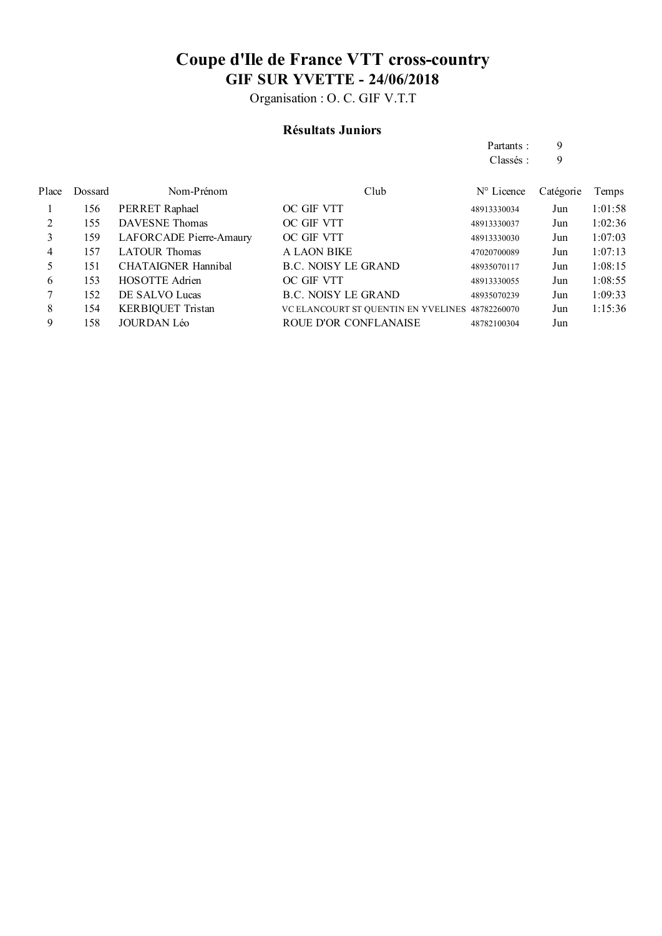Organisation : O. C. GIF V.T.T

#### **Résultats Juniors**

Partants : 9 Classés : 9

| Dossard | Nom-Prénom                 | Club                       | $N^{\circ}$ Licence | Catégorie                                       | Temps   |
|---------|----------------------------|----------------------------|---------------------|-------------------------------------------------|---------|
| 156     | PERRET Raphael             | OC GIF VTT                 | 48913330034         | Jun                                             | 1:01:58 |
| 155     | <b>DAVESNE</b> Thomas      | OC GIF VTT                 | 48913330037         | Jun                                             | 1:02:36 |
| 159     | LAFORCADE Pierre-Amaury    | OC GIF VTT                 | 48913330030         | Jun                                             | 1:07:03 |
| 157     | <b>LATOUR Thomas</b>       | <b>A LAON BIKE</b>         | 47020700089         | Jun                                             | 1:07:13 |
| 151     | <b>CHATAIGNER Hannibal</b> | <b>B.C. NOISY LE GRAND</b> | 48935070117         | Jun                                             | 1:08:15 |
| 153     | <b>HOSOTTE Adrien</b>      | OC GIF VTT                 | 48913330055         | Jun                                             | 1:08:55 |
| 152     | DE SALVO Lucas             | <b>B.C. NOISY LE GRAND</b> | 48935070239         | Jun                                             | 1:09:33 |
| 154     | <b>KERBIQUET Tristan</b>   |                            |                     | Jun                                             | 1:15:36 |
| 158     | <b>JOURDAN Léo</b>         | ROUE D'OR CONFLANAISE      | 48782100304         | Jun                                             |         |
|         |                            |                            |                     | VC ELANCOURT ST QUENTIN EN YVELINES 48782260070 |         |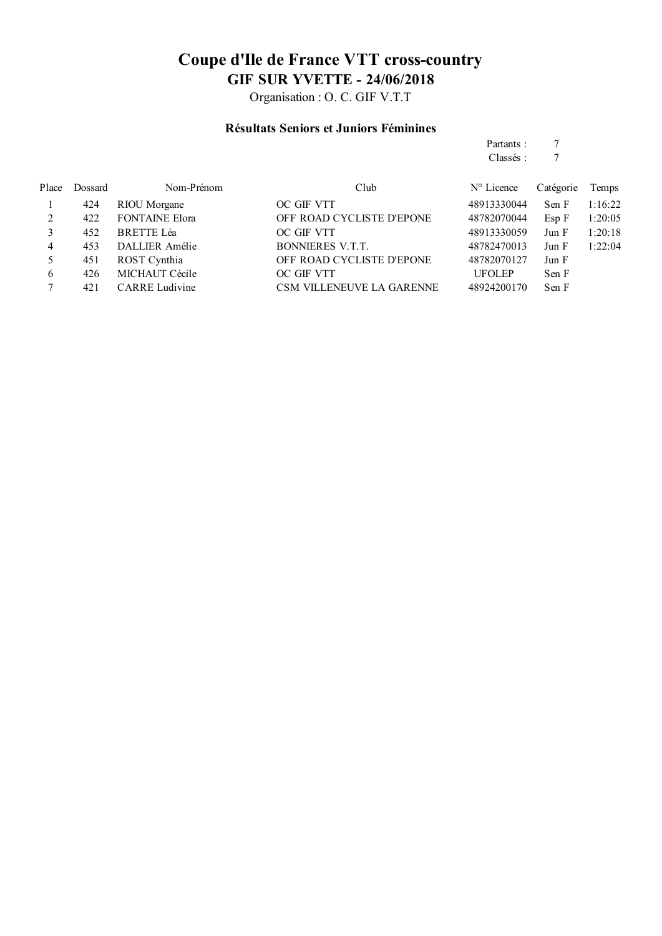Organisation : O. C. GIF V.T.T

#### **Résultats Seniors et Juniors Féminines**

Partants : 7<br>Classés : 7 Classés :

| Place | Dossard | Nom-Prénom            | Club                             | $N^{\circ}$ Licence | Catégorie | Temps   |
|-------|---------|-----------------------|----------------------------------|---------------------|-----------|---------|
|       | 424     | RIOU Morgane          | OC GIF VTT                       | 48913330044         | Sen F     | 1:16:22 |
|       | 422     | <b>FONTAINE Elora</b> | OFF ROAD CYCLISTE D'EPONE        | 48782070044         | Esp F     | 1:20:05 |
|       | 452     | <b>BRETTE Léa</b>     | OC GIF VTT                       | 48913330059         | Jun F     | 1:20:18 |
| 4     | 453     | DALLIER Amélie        | BONNIERES V.T.T.                 | 48782470013         | Jun F     | 1:22:04 |
|       | 451     | ROST Cynthia          | OFF ROAD CYCLISTE D'EPONE        | 48782070127         | Jun F     |         |
| 6     | 426     | MICHAUT Cécile        | OC GIF VTT                       | <b>UFOLEP</b>       | Sen F     |         |
|       | 421     | <b>CARRE</b> Ludivine | <b>CSM VILLENEUVE LA GARENNE</b> | 48924200170         | Sen F     |         |
|       |         |                       |                                  |                     |           |         |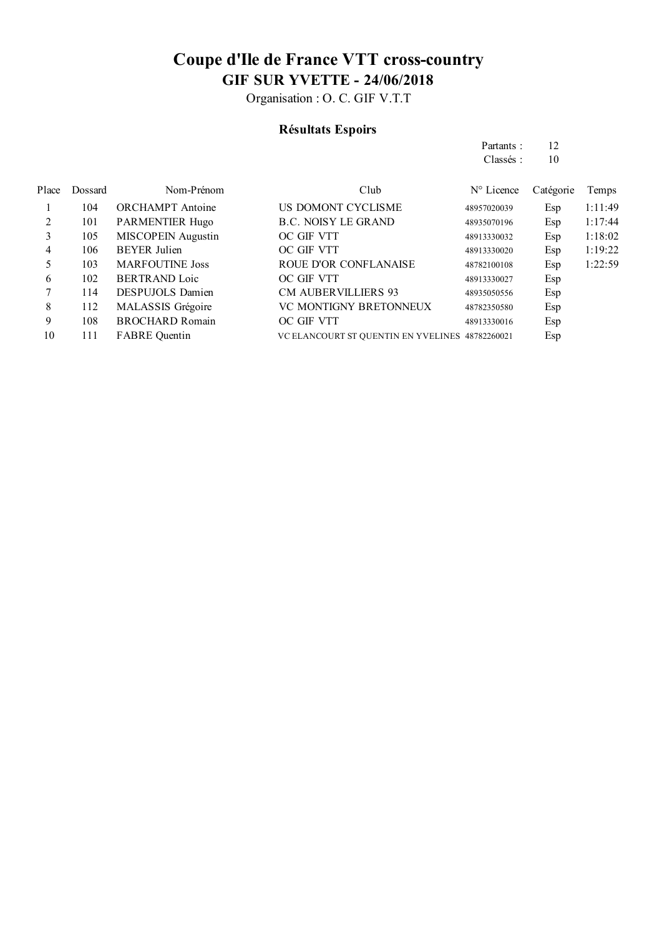Organisation : O. C. GIF V.T.T

### **Résultats Espoirs**

Partants : 12 Classés : 10

| Place | Dossard | Nom-Prénom                | Club                                            | $N^{\circ}$ Licence | Catégorie | Temps   |
|-------|---------|---------------------------|-------------------------------------------------|---------------------|-----------|---------|
|       | 104     | <b>ORCHAMPT</b> Antoine   | US DOMONT CYCLISME                              | 48957020039         | Esp       | 1:11:49 |
| 2     | 101     | <b>PARMENTIER Hugo</b>    | <b>B.C. NOISY LE GRAND</b>                      | 48935070196         | Esp       | 1:17:44 |
| 3     | 105     | <b>MISCOPEIN Augustin</b> | OC GIF VTT                                      | 48913330032         | Esp       | 1:18:02 |
| 4     | 106     | <b>BEYER Julien</b>       | OC GIF VTT                                      | 48913330020         | Esp       | 1:19:22 |
| 5     | 103     | <b>MARFOUTINE Joss</b>    | ROUE D'OR CONFLANAISE                           | 48782100108         | Esp       | 1:22:59 |
| 6     | 102     | <b>BERTRAND</b> Loic      | OC GIF VTT                                      | 48913330027         | Esp       |         |
|       | 114     | <b>DESPUJOLS Damien</b>   | <b>CM AUBERVILLIERS 93</b>                      | 48935050556         | Esp       |         |
| 8     | 112     | MALASSIS Grégoire         | VC MONTIGNY BRETONNEUX                          | 48782350580         | Esp       |         |
| 9     | 108     | <b>BROCHARD Romain</b>    | OC GIF VTT                                      | 48913330016         | Esp       |         |
| 10    | 111     | <b>FABRE</b> Quentin      | VC ELANCOURT ST QUENTIN EN YVELINES 48782260021 |                     | Esp       |         |
|       |         |                           |                                                 |                     |           |         |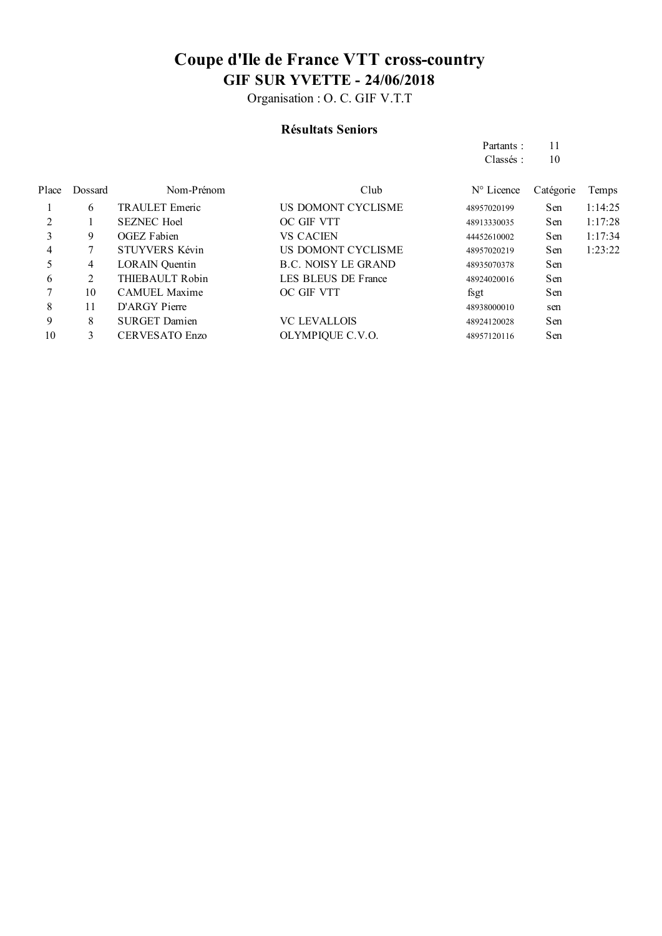Organisation : O. C. GIF V.T.T

#### **Résultats Seniors**

Partants : 11 Classés : 10

| Place | Dossard | Nom-Prénom            | Club                       | $N^{\circ}$ Licence | Catégorie | Temps   |
|-------|---------|-----------------------|----------------------------|---------------------|-----------|---------|
|       | 6       | <b>TRAULET</b> Emeric | US DOMONT CYCLISME         | 48957020199         | Sen       | 1:14:25 |
|       |         | <b>SEZNEC Hoel</b>    | OC GIF VTT                 | 48913330035         | Sen       | 1:17:28 |
| 3     | 9       | <b>OGEZ</b> Fabien    | <b>VS CACIEN</b>           | 44452610002         | Sen       | 1:17:34 |
| 4     |         | <b>STUYVERS Kévin</b> | US DOMONT CYCLISME         | 48957020219         | Sen       | 1:23:22 |
|       | 4       | <b>LORAIN</b> Quentin | <b>B.C. NOISY LE GRAND</b> | 48935070378         | Sen       |         |
| 6     | 2       | THIEBAULT Robin       | LES BLEUS DE France        | 48924020016         | Sen       |         |
|       | 10      | <b>CAMUEL Maxime</b>  | OC GIF VTT                 | fsgt                | Sen       |         |
| 8     | 11      | D'ARGY Pierre         |                            | 48938000010         | sen       |         |
| 9     | 8       | <b>SURGET Damien</b>  | <b>VC LEVALLOIS</b>        | 48924120028         | Sen       |         |
| 10    | 3       | <b>CERVESATO Enzo</b> | OLYMPIQUE C.V.O.           | 48957120116         | Sen       |         |
|       |         |                       |                            |                     |           |         |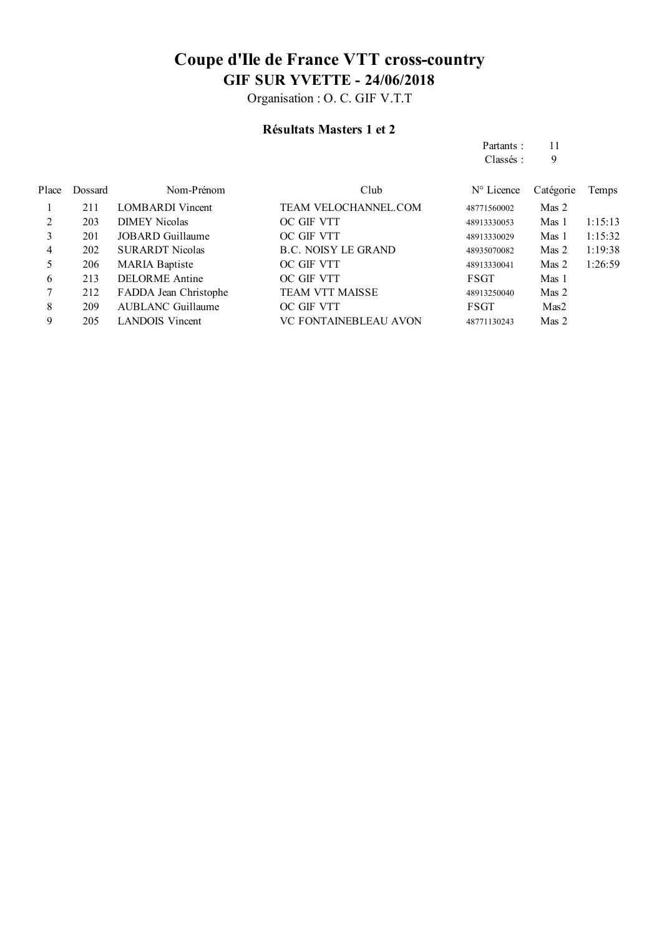Organisation : O. C. GIF V.T.T

#### **Résultats Masters 1 et 2**

Partants : 11 Classés : 9

| Place | Dossard | Nom-Prénom               | Club                         | $N^{\circ}$ Licence | Catégorie | Temps   |
|-------|---------|--------------------------|------------------------------|---------------------|-----------|---------|
|       | 211     | <b>LOMBARDI</b> Vincent  | <b>TEAM VELOCHANNEL.COM</b>  | 48771560002         | Mas 2     |         |
| 2     | 203     | <b>DIMEY Nicolas</b>     | OC GIF VTT                   | 48913330053         | Mas 1     | 1:15:13 |
| 3     | 201     | JOBARD Guillaume         | OC GIF VTT                   | 48913330029         | Mas 1     | 1:15:32 |
| 4     | 202     | <b>SURARDT Nicolas</b>   | <b>B.C. NOISY LE GRAND</b>   | 48935070082         | Mas 2     | 1:19:38 |
| 5     | 206     | <b>MARIA Baptiste</b>    | OC GIF VTT                   | 48913330041         | Mas 2     | 1:26:59 |
| 6     | 213     | <b>DELORME</b> Antine    | OC GIF VTT                   | <b>FSGT</b>         | Mas 1     |         |
|       | 212     | FADDA Jean Christophe    | <b>TEAM VTT MAISSE</b>       | 48913250040         | Mas 2     |         |
| 8     | 209     | <b>AUBLANC Guillaume</b> | OC GIF VTT                   | FSGT                | Mas2      |         |
| 9     | 205     | <b>LANDOIS</b> Vincent   | <b>VC FONTAINEBLEAU AVON</b> | 48771130243         | Mas 2     |         |
|       |         |                          |                              |                     |           |         |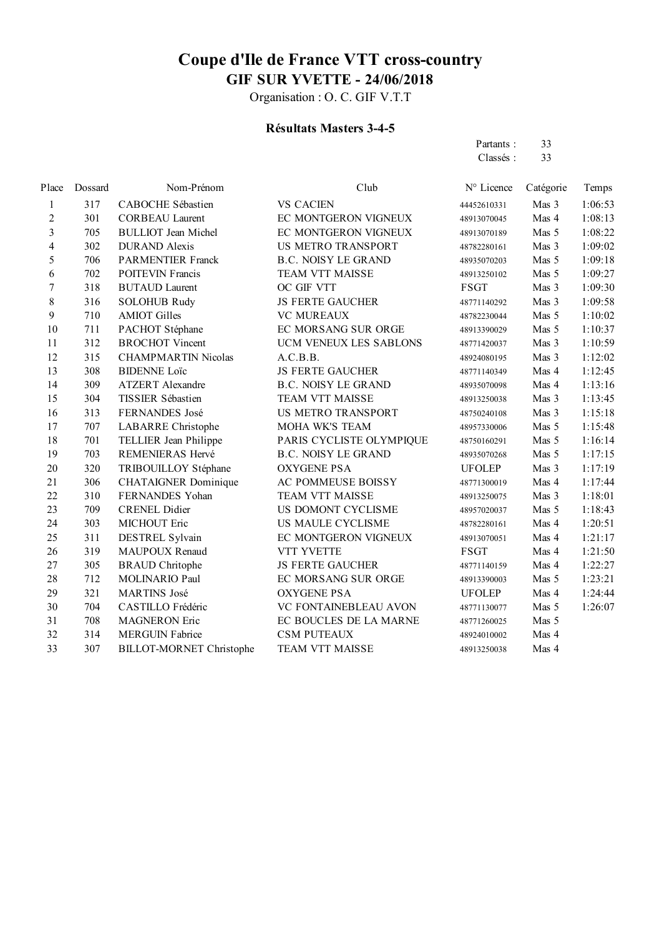Organisation : O. C. GIF V.T.T

#### **Résultats Masters 3-4-5**

Partants : 33<br>Classés : 33 Classés :

| Place            | Dossard | Nom-Prénom                      | Club                       | N° Licence    | Catégorie | Temps   |
|------------------|---------|---------------------------------|----------------------------|---------------|-----------|---------|
| 1                | 317     | CABOCHE Sébastien               | <b>VS CACIEN</b>           | 44452610331   | Mas 3     | 1:06:53 |
| $\overline{c}$   | 301     | <b>CORBEAU Laurent</b>          | EC MONTGERON VIGNEUX       | 48913070045   | Mas 4     | 1:08:13 |
| $\overline{3}$   | 705     | <b>BULLIOT</b> Jean Michel      | EC MONTGERON VIGNEUX       | 48913070189   | Mas 5     | 1:08:22 |
| $\overline{4}$   | 302     | <b>DURAND</b> Alexis            | <b>US METRO TRANSPORT</b>  | 48782280161   | Mas 3     | 1:09:02 |
| 5                | 706     | <b>PARMENTIER Franck</b>        | <b>B.C. NOISY LE GRAND</b> | 48935070203   | Mas 5     | 1:09:18 |
| 6                | 702     | <b>POITEVIN Francis</b>         | TEAM VTT MAISSE            | 48913250102   | Mas 5     | 1:09:27 |
| $\boldsymbol{7}$ | 318     | <b>BUTAUD Laurent</b>           | OC GIF VTT                 | <b>FSGT</b>   | Mas 3     | 1:09:30 |
| $8\,$            | 316     | <b>SOLOHUB Rudy</b>             | <b>JS FERTE GAUCHER</b>    | 48771140292   | Mas 3     | 1:09:58 |
| 9                | 710     | <b>AMIOT Gilles</b>             | <b>VC MUREAUX</b>          | 48782230044   | Mas 5     | 1:10:02 |
| 10               | 711     | PACHOT Stéphane                 | EC MORSANG SUR ORGE        | 48913390029   | Mas 5     | 1:10:37 |
| 11               | 312     | <b>BROCHOT Vincent</b>          | UCM VENEUX LES SABLONS     | 48771420037   | Mas 3     | 1:10:59 |
| 12               | 315     | <b>CHAMPMARTIN Nicolas</b>      | A.C.B.B.                   | 48924080195   | Mas 3     | 1:12:02 |
| 13               | 308     | <b>BIDENNE Loïc</b>             | <b>JS FERTE GAUCHER</b>    | 48771140349   | Mas 4     | 1:12:45 |
| 14               | 309     | <b>ATZERT</b> Alexandre         | <b>B.C. NOISY LE GRAND</b> | 48935070098   | Mas 4     | 1:13:16 |
| 15               | 304     | TISSIER Sébastien               | TEAM VTT MAISSE            | 48913250038   | Mas 3     | 1:13:45 |
| 16               | 313     | FERNANDES José                  | US METRO TRANSPORT         | 48750240108   | Mas 3     | 1:15:18 |
| 17               | 707     | <b>LABARRE</b> Christophe       | MOHA WK'S TEAM             | 48957330006   | Mas 5     | 1:15:48 |
| 18               | 701     | TELLIER Jean Philippe           | PARIS CYCLISTE OLYMPIQUE   | 48750160291   | Mas 5     | 1:16:14 |
| 19               | 703     | REMENIERAS Hervé                | <b>B.C. NOISY LE GRAND</b> | 48935070268   | Mas 5     | 1:17:15 |
| 20               | 320     | TRIBOUILLOY Stéphane            | <b>OXYGENE PSA</b>         | <b>UFOLEP</b> | Mas 3     | 1:17:19 |
| 21               | 306     | <b>CHATAIGNER Dominique</b>     | AC POMMEUSE BOISSY         | 48771300019   | Mas 4     | 1:17:44 |
| 22               | 310     | FERNANDES Yohan                 | TEAM VTT MAISSE            | 48913250075   | Mas 3     | 1:18:01 |
| 23               | 709     | <b>CRENEL Didier</b>            | US DOMONT CYCLISME         | 48957020037   | Mas 5     | 1:18:43 |
| 24               | 303     | MICHOUT Eric                    | US MAULE CYCLISME          | 48782280161   | Mas 4     | 1:20:51 |
| 25               | 311     | DESTREL Sylvain                 | EC MONTGERON VIGNEUX       | 48913070051   | Mas 4     | 1:21:17 |
| 26               | 319     | <b>MAUPOUX Renaud</b>           | VTT YVETTE                 | <b>FSGT</b>   | Mas 4     | 1:21:50 |
| 27               | 305     | <b>BRAUD</b> Chritophe          | <b>JS FERTE GAUCHER</b>    | 48771140159   | Mas 4     | 1:22:27 |
| 28               | 712     | MOLINARIO Paul                  | EC MORSANG SUR ORGE        | 48913390003   | Mas 5     | 1:23:21 |
| 29               | 321     | <b>MARTINS José</b>             | <b>OXYGENE PSA</b>         | <b>UFOLEP</b> | Mas 4     | 1:24:44 |
| 30               | 704     | CASTILLO Frédéric               | VC FONTAINEBLEAU AVON      | 48771130077   | Mas 5     | 1:26:07 |
| 31               | 708     | <b>MAGNERON Eric</b>            | EC BOUCLES DE LA MARNE     | 48771260025   | Mas 5     |         |
| 32               | 314     | <b>MERGUIN Fabrice</b>          | <b>CSM PUTEAUX</b>         | 48924010002   | Mas 4     |         |
| 33               | 307     | <b>BILLOT-MORNET Christophe</b> | <b>TEAM VTT MAISSE</b>     | 48913250038   | Mas 4     |         |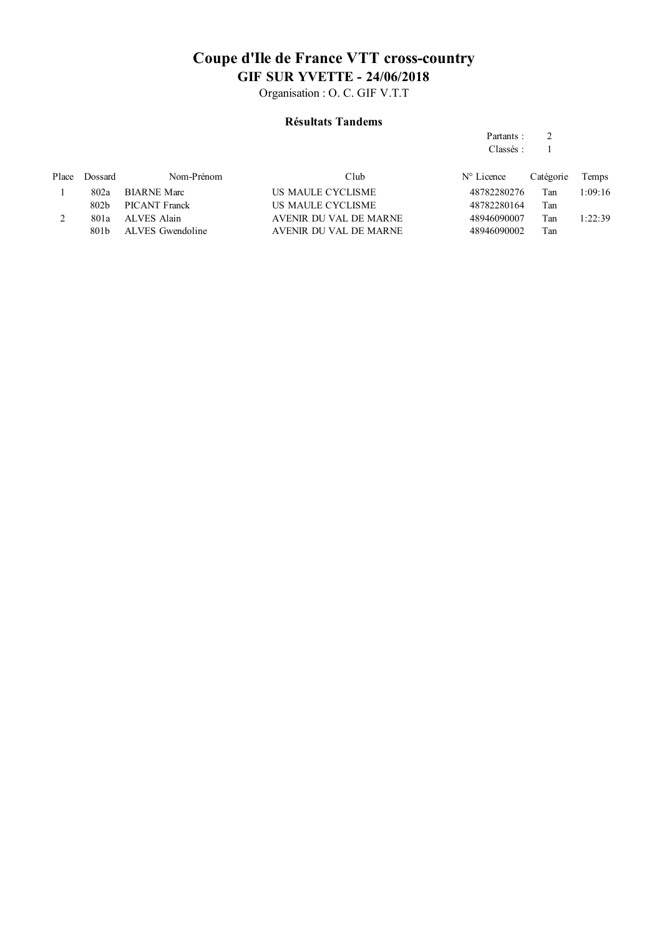Organisation : O. C. GIF V.T.T

#### **Résultats Tandems**

#### Partants : 2 Classés : 1

| Place | Dossard          | Nom-Prénom         | Club                   | $N^{\circ}$ Licence | Catégorie | Temps   |
|-------|------------------|--------------------|------------------------|---------------------|-----------|---------|
|       | 802a             | <b>BIARNE Marc</b> | US MAULE CYCLISME      | 48782280276         | Tan       | 1:09:16 |
|       | 802h             | PICANT Franck      | US MAULE CYCLISME      | 48782280164         | Tan       |         |
|       | 801a             | ALVES Alain        | AVENIR DU VAL DE MARNE | 48946090007         | Tan       | 1:22:39 |
|       | 801 <sub>b</sub> | ALVES Gwendoline   | AVENIR DU VAL DE MARNE | 48946090002         | Tan       |         |
|       |                  |                    |                        |                     |           |         |